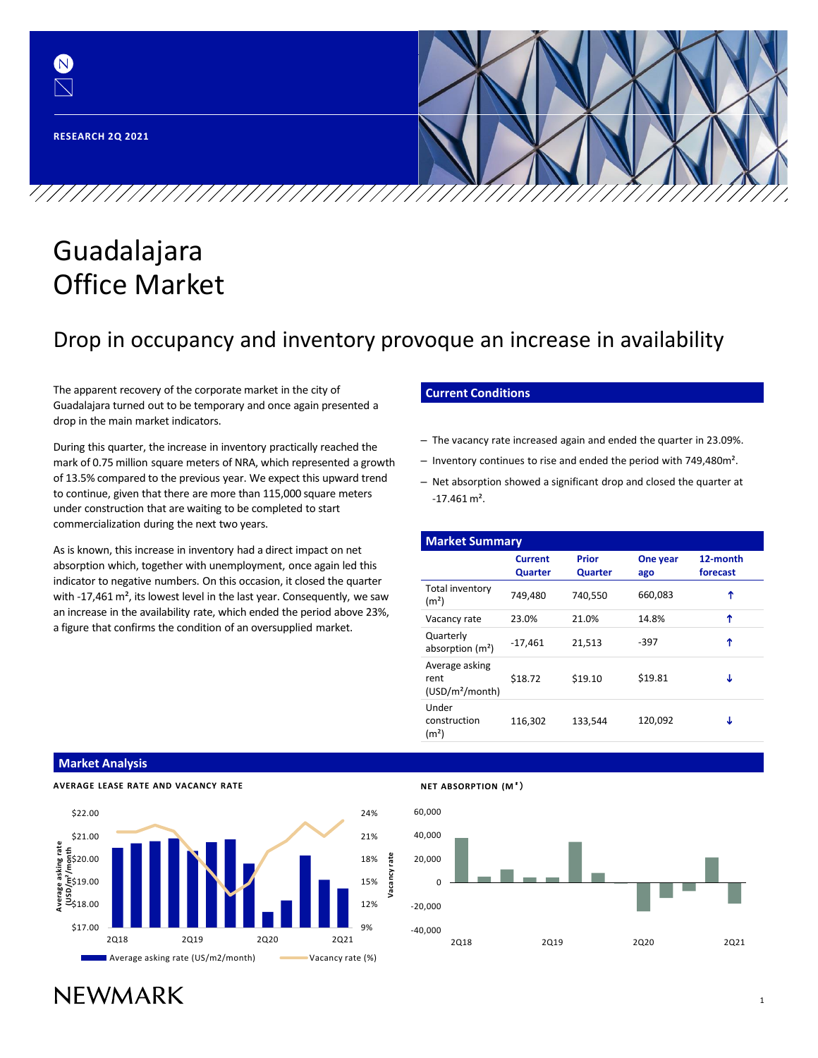

# Guadalajara Office Market

## Drop in occupancy and inventory provoque an increase in availability

The apparent recovery of the corporate market in the city of Guadalajara turned out to be temporary and once again presented a drop in the main market indicators.

During this quarter, the increase in inventory practically reached the mark of 0.75 million square meters of NRA, which represented a growth of 13.5% compared to the previous year. We expect this upward trend to continue, given that there are more than 115,000 square meters under construction that are waiting to be completed to start commercialization during the next two years.

As is known, this increase in inventory had a direct impact on net absorption which, together with unemployment, once again led this indicator to negative numbers. On this occasion, it closed the quarter with -17,461 m<sup>2</sup>, its lowest level in the last year. Consequently, we saw an increase in the availability rate, which ended the period above 23%, a figure that confirms the condition of an oversupplied market.

### **Current Conditions**

- The vacancy rate increased again and ended the quarter in 23.09%.
- Inventory continues to rise and ended the period with 749,480m².
- Net absorption showed a significant drop and closed the quarter at  $-17.461$  m<sup>2</sup>.

| <b>Market Summary</b>                                 |                           |                                            |         |                      |  |  |  |  |  |  |
|-------------------------------------------------------|---------------------------|--------------------------------------------|---------|----------------------|--|--|--|--|--|--|
|                                                       | <b>Current</b><br>Quarter | Prior<br>One year<br><b>Quarter</b><br>ago |         | 12-month<br>forecast |  |  |  |  |  |  |
| Total inventory<br>(m <sup>2</sup> )                  | 749,480                   | 740,550                                    | 660,083 | ↑                    |  |  |  |  |  |  |
| Vacancy rate                                          | 23.0%                     | 21.0%                                      | 14.8%   | ↑                    |  |  |  |  |  |  |
| Quarterly<br>absorption $(m2)$                        | $-17,461$                 | 21,513                                     | -397    | ↑                    |  |  |  |  |  |  |
| Average asking<br>rent<br>(USD/m <sup>2</sup> /month) | \$18.72                   | \$19.10                                    | \$19.81 | Τ                    |  |  |  |  |  |  |
| Under<br>construction<br>(m <sup>2</sup> )            | 116,302                   | 133,544                                    | 120,092 | J                    |  |  |  |  |  |  |

#### **Market Analysis**

**AVERAGE LEASE RATE AND VACANCY RATE**





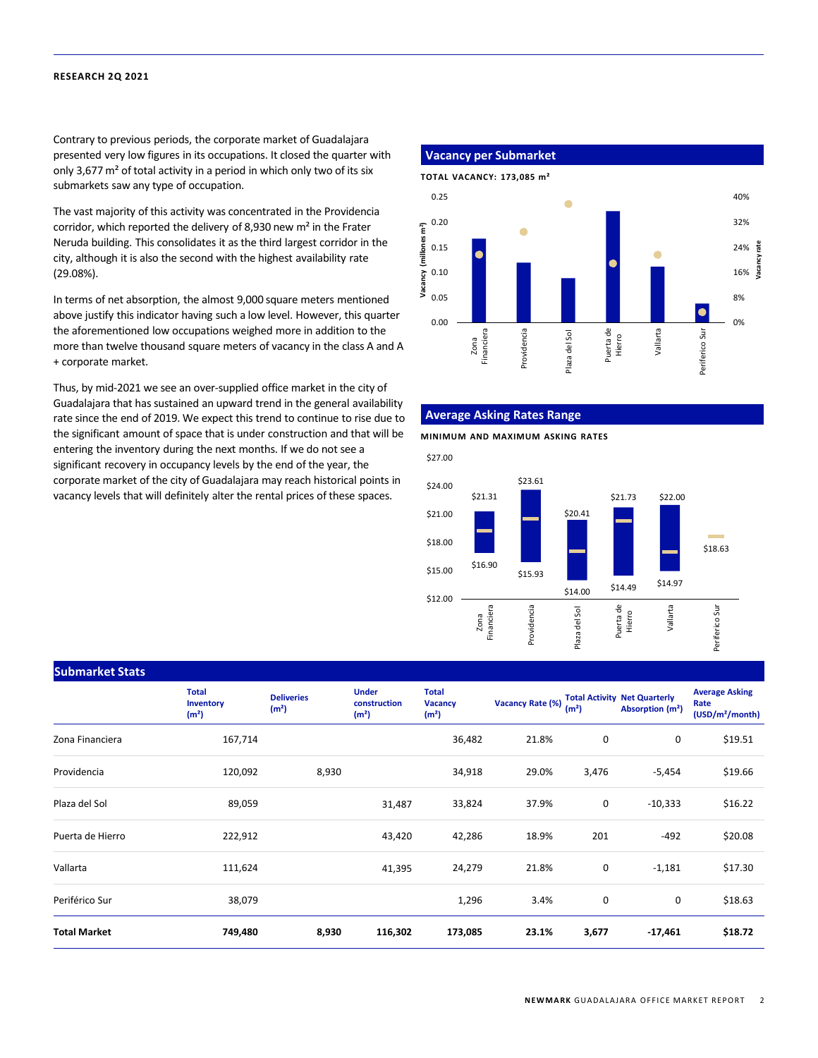#### **RESEARCH 2Q 2021**

Contrary to previous periods, the corporate market of Guadalajara presented very low figures in its occupations. It closed the quarter with only 3,677 m² of total activity in a period in which only two of its six submarkets saw any type of occupation.

The vast majority of this activity was concentrated in the Providencia corridor, which reported the delivery of 8,930 new m² in the Frater Neruda building. This consolidates it as the third largest corridor in the city, although it is also the second with the highest availability rate (29.08%).

In terms of net absorption, the almost 9,000 square meters mentioned above justify this indicator having such a low level. However, this quarter the aforementioned low occupations weighed more in addition to the more than twelve thousand square meters of vacancy in the class A and A + corporate market.

Thus, by mid-2021 we see an over-supplied office market in the city of Guadalajara that has sustained an upward trend in the general availability rate since the end of 2019. We expect this trend to continue to rise due to the significant amount of space that is under construction and that will be entering the inventory during the next months. If we do not see a significant recovery in occupancy levels by the end of the year, the corporate market of the city of Guadalajara may reach historical points in vacancy levels that will definitely alter the rental prices of these spaces.

#### **Vacancy per Submarket**



#### **Average Asking Rates Range**

**MINIMUM AND MAXIMUM ASKING RATES**



#### **Submarket Stats**

|                     | <b>Total</b><br>Inventory<br>(m <sup>2</sup> ) | <b>Deliveries</b><br>(m <sup>2</sup> ) | <b>Under</b><br>construction<br>(m <sup>2</sup> ) | <b>Total</b><br><b>Vacancy</b><br>(m <sup>2</sup> ) | <b>Vacancy Rate (%)</b> | (m <sup>2</sup> ) | <b>Total Activity Net Quarterly</b><br>Absorption (m <sup>2</sup> ) | <b>Average Asking</b><br>Rate<br>(USD/m <sup>2</sup> /month) |
|---------------------|------------------------------------------------|----------------------------------------|---------------------------------------------------|-----------------------------------------------------|-------------------------|-------------------|---------------------------------------------------------------------|--------------------------------------------------------------|
| Zona Financiera     | 167,714                                        |                                        |                                                   | 36,482                                              | 21.8%                   | 0                 | 0                                                                   | \$19.51                                                      |
| Providencia         | 120,092                                        | 8,930                                  |                                                   | 34,918                                              | 29.0%                   | 3,476             | $-5,454$                                                            | \$19.66                                                      |
| Plaza del Sol       | 89,059                                         |                                        | 31,487                                            | 33,824                                              | 37.9%                   | 0                 | $-10,333$                                                           | \$16.22                                                      |
| Puerta de Hierro    | 222,912                                        |                                        | 43,420                                            | 42,286                                              | 18.9%                   | 201               | $-492$                                                              | \$20.08                                                      |
| Vallarta            | 111,624                                        |                                        | 41,395                                            | 24,279                                              | 21.8%                   | 0                 | $-1,181$                                                            | \$17.30                                                      |
| Periférico Sur      | 38,079                                         |                                        |                                                   | 1,296                                               | 3.4%                    | 0                 | 0                                                                   | \$18.63                                                      |
| <b>Total Market</b> | 749,480                                        | 8,930                                  | 116,302                                           | 173,085                                             | 23.1%                   | 3,677             | $-17,461$                                                           | \$18.72                                                      |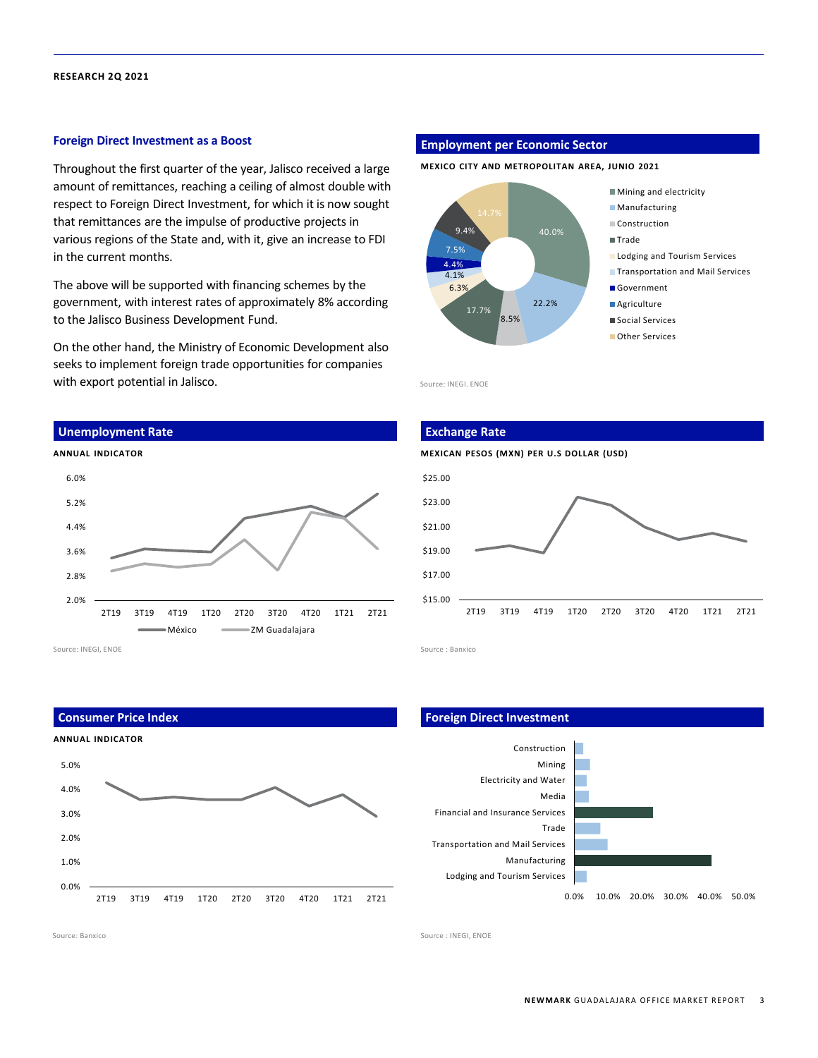#### **RESEARCH 2Q 2021**

#### **Foreign Direct Investment as a Boost**

Throughout the first quarter of the year, Jalisco received a large amount of remittances, reaching a ceiling of almost double with respect to Foreign Direct Investment, for which it is now sought that remittances are the impulse of productive projects in various regions of the State and, with it, give an increase to FDI in the current months.

The above will be supported with financing schemes by the government, with interest rates of approximately 8% according to the Jalisco Business Development Fund.

On the other hand, the Ministry of Economic Development also seeks to implement foreign trade opportunities for companies with export potential in Jalisco.

#### **Unemployment Rate**



Source: INEGI, ENOE

**Consumer Price Index**



#### **Employment per Economic Sector**

**MEXICO CITY AND METROPOLITAN AREA, JUNIO 2021**



Source: INEGI. ENOE



Source : Banxico

#### **Foreign Direct Investment**



Source: Banxico Source : INEGI, ENOE